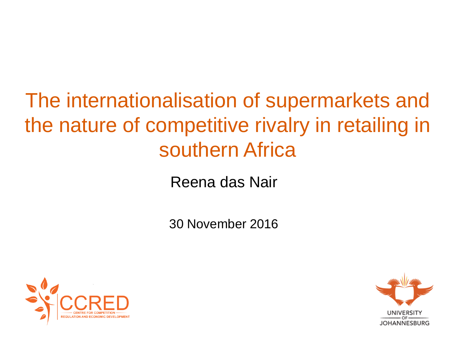# The internationalisation of supermarkets and the nature of competitive rivalry in retailing in southern Africa

Reena das Nair

30 November 2016



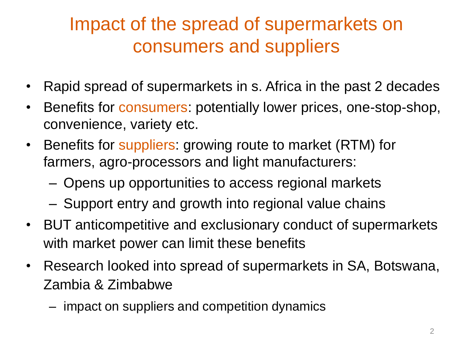## Impact of the spread of supermarkets on consumers and suppliers

- Rapid spread of supermarkets in s. Africa in the past 2 decades
- Benefits for consumers: potentially lower prices, one-stop-shop, convenience, variety etc.
- Benefits for suppliers: growing route to market (RTM) for farmers, agro-processors and light manufacturers:
	- Opens up opportunities to access regional markets
	- Support entry and growth into regional value chains
- BUT anticompetitive and exclusionary conduct of supermarkets with market power can limit these benefits
- Research looked into spread of supermarkets in SA, Botswana, Zambia & Zimbabwe
	- impact on suppliers and competition dynamics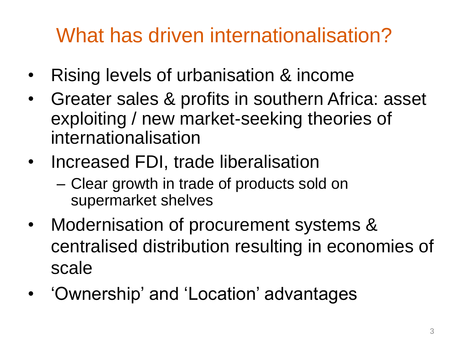# What has driven internationalisation?

- Rising levels of urbanisation & income
- Greater sales & profits in southern Africa: asset exploiting / new market-seeking theories of internationalisation
- Increased FDI, trade liberalisation
	- Clear growth in trade of products sold on supermarket shelves
- Modernisation of procurement systems & centralised distribution resulting in economies of scale
- 'Ownership' and 'Location' advantages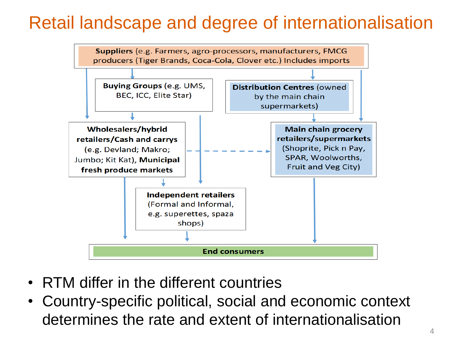#### Retail landscape and degree of internationalisation



- RTM differ in the different countries
- Country-specific political, social and economic context determines the rate and extent of internationalisation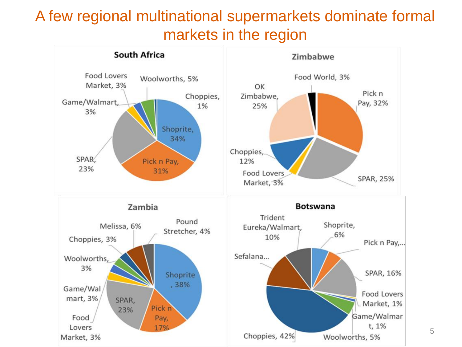#### A few regional multinational supermarkets dominate formal markets in the region



5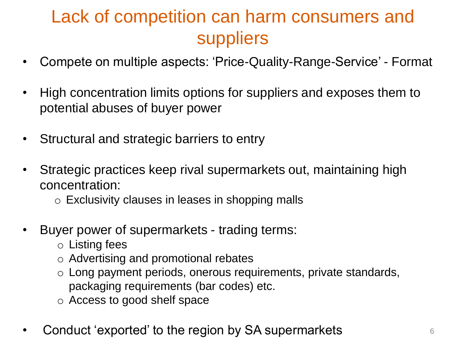### Lack of competition can harm consumers and suppliers

- Compete on multiple aspects: 'Price-Quality-Range-Service' Format
- High concentration limits options for suppliers and exposes them to potential abuses of buyer power
- Structural and strategic barriers to entry
- Strategic practices keep rival supermarkets out, maintaining high concentration:
	- o Exclusivity clauses in leases in shopping malls
- Buyer power of supermarkets trading terms:
	- o Listing fees
	- o Advertising and promotional rebates
	- o Long payment periods, onerous requirements, private standards, packaging requirements (bar codes) etc.
	- o Access to good shelf space
- erigon Conduct 'exported' to the region by SA supermarkets  $\frac{6}{6}$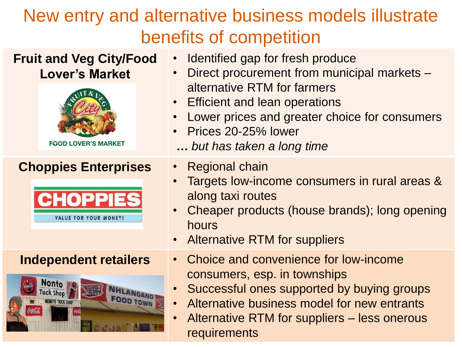## New entry and alternative business models illustrate benefits of competition

| <b>Fruit and Veg City/Food</b><br><b>Lover's Market</b><br><b>FOOD LOVER'S MARKET</b> | Identified gap for fresh produce<br>Direct procurement from municipal markets -<br>alternative RTM for farmers<br><b>Efficient and lean operations</b><br>$\bullet$<br>Lower prices and greater choice for consumers<br>Prices 20-25% lower<br>but has taken a long time |
|---------------------------------------------------------------------------------------|--------------------------------------------------------------------------------------------------------------------------------------------------------------------------------------------------------------------------------------------------------------------------|
| <b>Choppies Enterprises</b><br>CHOPPIE<br>VALUE FOR YOUR MONEY!                       | <b>Regional chain</b><br>Targets low-income consumers in rural areas &<br>along taxi routes<br>Cheaper products (house brands); long opening<br>hours<br><b>Alternative RTM for suppliers</b>                                                                            |
| <b>Independent retailers</b><br><b>Nonto</b><br><b>FOOD TOWN</b><br>IONTO TUCK SHOP   | Choice and convenience for low-income<br>$\bullet$<br>consumers, esp. in townships<br>Successful ones supported by buying groups<br>Alternative business model for new entrants<br>Alternative RTM for suppliers – less onerous<br>requirements                          |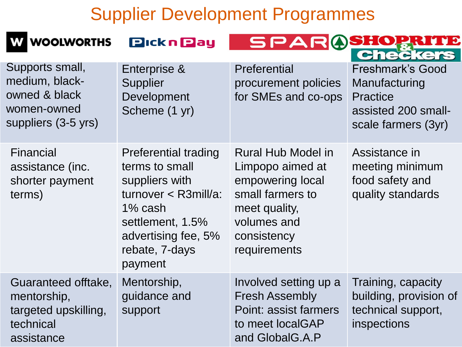#### Supplier Development Programmes

| <b>WOOLWORTHS</b>                                                                        | <b>Pickn Pay</b>                                                                                                                                                              |                                                                                                                                                      | <b>Checkers</b>                                                                                           |
|------------------------------------------------------------------------------------------|-------------------------------------------------------------------------------------------------------------------------------------------------------------------------------|------------------------------------------------------------------------------------------------------------------------------------------------------|-----------------------------------------------------------------------------------------------------------|
| Supports small,<br>medium, black-<br>owned & black<br>women-owned<br>suppliers (3-5 yrs) | Enterprise &<br><b>Supplier</b><br>Development<br>Scheme (1 yr)                                                                                                               | Preferential<br>procurement policies<br>for SMEs and co-ops                                                                                          | <b>Freshmark's Good</b><br>Manufacturing<br><b>Practice</b><br>assisted 200 small-<br>scale farmers (3yr) |
| <b>Financial</b><br>assistance (inc.<br>shorter payment<br>terms)                        | <b>Preferential trading</b><br>terms to small<br>suppliers with<br>$turnover < R3$ mill/a:<br>1% cash<br>settlement, 1.5%<br>advertising fee, 5%<br>rebate, 7-days<br>payment | <b>Rural Hub Model in</b><br>Limpopo aimed at<br>empowering local<br>small farmers to<br>meet quality,<br>volumes and<br>consistency<br>requirements | Assistance in<br>meeting minimum<br>food safety and<br>quality standards                                  |
| Guaranteed offtake,<br>mentorship,<br>targeted upskilling,<br>technical<br>assistance    | Mentorship,<br>guidance and<br>support                                                                                                                                        | Involved setting up a<br><b>Fresh Assembly</b><br>Point: assist farmers<br>to meet localGAP<br>and GlobalG.A.P                                       | Training, capacity<br>building, provision of<br>technical support,<br>inspections                         |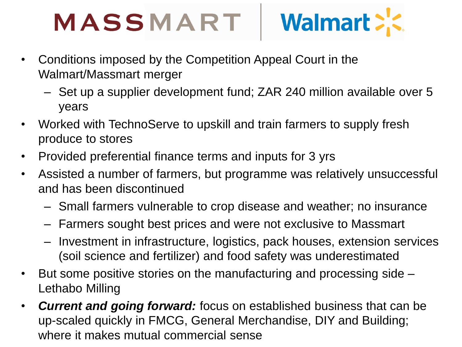#### Walmart >'< MASSMART

- Conditions imposed by the Competition Appeal Court in the Walmart/Massmart merger
	- Set up a supplier development fund; ZAR 240 million available over 5 years
- Worked with TechnoServe to upskill and train farmers to supply fresh produce to stores
- Provided preferential finance terms and inputs for 3 yrs
- Assisted a number of farmers, but programme was relatively unsuccessful and has been discontinued
	- Small farmers vulnerable to crop disease and weather; no insurance
	- Farmers sought best prices and were not exclusive to Massmart
	- Investment in infrastructure, logistics, pack houses, extension services (soil science and fertilizer) and food safety was underestimated
- But some positive stories on the manufacturing and processing side Lethabo Milling
- *Current and going forward:* focus on established business that can be up-scaled quickly in FMCG, General Merchandise, DIY and Building; where it makes mutual commercial sense